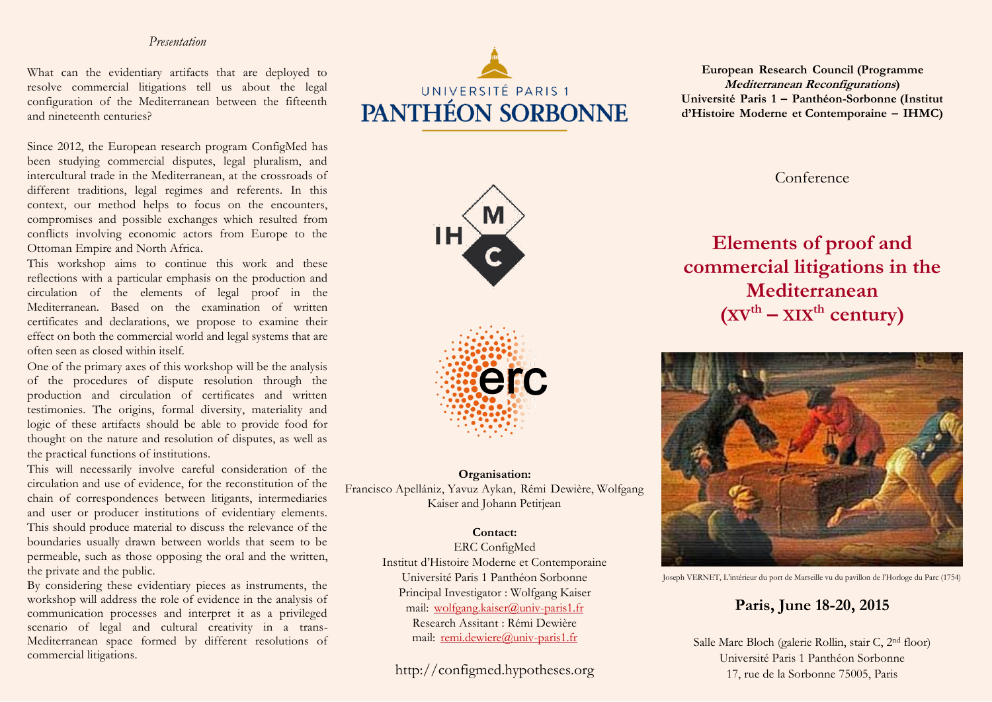## *Presentation*

What can the evidentiary artifacts that are deployed to resolve commercial litigations tell us about the legal configuration of the Mediterranean between the fifteenth and nineteenth centuries?

Since 2012, the European research program ConfigMed has been studying commercial disputes, legal pluralism, and intercultural trade in the Mediterranean, at the crossroads of different traditions, legal regimes and referents. In this context, our method helps to focus on the encounters, compromises and possible exchanges which resulted from conflicts involving economic actors from Europe to the Ottoman Empire and North Africa.

This workshop aims to continue this work and these reflections with a particular emphasis on the production and circulation of the elements of legal proof in the Mediterranean. Based on the examination of written certificates and declarations, we propose to examine their effect on both the commercial world and legal systems that are often seen as closed within itself.

One of the primary axes of this workshop will be the analysis of the procedures of dispute resolution through the production and circulation of certificates and written testimonies. The origins, formal diversity, materiality and logic of these artifacts should be able to provide food for thought on the nature and resolution of disputes, as well as the practical functions of institutions.

This will necessarily involve careful consideration of the circulation and use of evidence, for the reconstitution of the chain of correspondences between litigants, intermediaries and user or producer institutions of evidentiary elements. This should produce material to discuss the relevance of the boundaries usually drawn between worlds that seem to be permeable, such as those opposing the oral and the written, the private and the public.

By considering these evidentiary pieces as instruments, the workshop will address the role of evidence in the analysis of communication processes and interpret it as a privileged scenario of legal and cultural creativity in a trans-Mediterranean space formed by different resolutions of commercial litigations.



**IH** 

**European Research Council (Programme Mediterranean Reconfigurations) Université Paris 1 – Panthéon-Sorbonne (Institut d'Histoire Moderne et Contemporaine – IHMC)**

Conference

## **Elements of proof and commercial litigations in the Mediterranean (XVth – XIXth century)**



Joseph VERNET, L'intérieur du port de Marseille vu du pavillon de l'Horloge du Parc (1754)

## **Paris, June 18-20, 2015**

Salle Marc Bloch (galerie Rollin, stair C, 2nd floor) Université Paris 1 Panthéon Sorbonne 17, rue de la Sorbonne 75005, Paris



**Organisation:** Francisco Apellániz, Yavuz Aykan, Rémi Dewière, Wolfgang Kaiser and Johann Petitjean

## **Contact:**

ERC ConfigMed Institut d'Histoire Moderne et Contemporaine Université Paris 1 Panthéon Sorbonne Principal Investigator : Wolfgang Kaiser mail: wolfgang.kaiser@univ-paris1.fr Research Assitant : Rémi Dewière mail: remi.dewiere@univ-paris1.fr

http://configmed.hypotheses.org